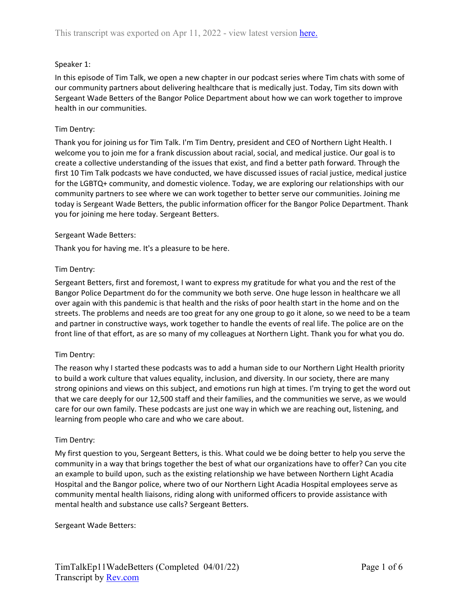### Speaker 1:

In this episode of Tim Talk, we open a new chapter in our podcast series where Tim chats with some of our community partners about delivering healthcare that is medically just. Today, Tim sits down with Sergeant Wade Betters of the Bangor Police Department about how we can work together to improve health in our communities.

### Tim Dentry:

Thank you for joining us for Tim Talk. I'm Tim Dentry, president and CEO of Northern Light Health. I welcome you to join me for a frank discussion about racial, social, and medical justice. Our goal is to create a collective understanding of the issues that exist, and find a better path forward. Through the first 10 Tim Talk podcasts we have conducted, we have discussed issues of racial justice, medical justice for the LGBTQ+ community, and domestic violence. Today, we are exploring our relationships with our community partners to see where we can work together to better serve our communities. Joining me today is Sergeant Wade Betters, the public information officer for the Bangor Police Department. Thank you for joining me here today. Sergeant Betters.

## Sergeant Wade Betters:

Thank you for having me. It's a pleasure to be here.

## Tim Dentry:

Sergeant Betters, first and foremost, I want to express my gratitude for what you and the rest of the Bangor Police Department do for the community we both serve. One huge lesson in healthcare we all over again with this pandemic is that health and the risks of poor health start in the home and on the streets. The problems and needs are too great for any one group to go it alone, so we need to be a team and partner in constructive ways, work together to handle the events of real life. The police are on the front line of that effort, as are so many of my colleagues at Northern Light. Thank you for what you do.

# Tim Dentry:

The reason why I started these podcasts was to add a human side to our Northern Light Health priority to build a work culture that values equality, inclusion, and diversity. In our society, there are many strong opinions and views on this subject, and emotions run high at times. I'm trying to get the word out that we care deeply for our 12,500 staff and their families, and the communities we serve, as we would care for our own family. These podcasts are just one way in which we are reaching out, listening, and learning from people who care and who we care about.

#### Tim Dentry:

My first question to you, Sergeant Betters, is this. What could we be doing better to help you serve the community in a way that brings together the best of what our organizations have to offer? Can you cite an example to build upon, such as the existing relationship we have between Northern Light Acadia Hospital and the Bangor police, where two of our Northern Light Acadia Hospital employees serve as community mental health liaisons, riding along with uniformed officers to provide assistance with mental health and substance use calls? Sergeant Betters.

Sergeant Wade Betters: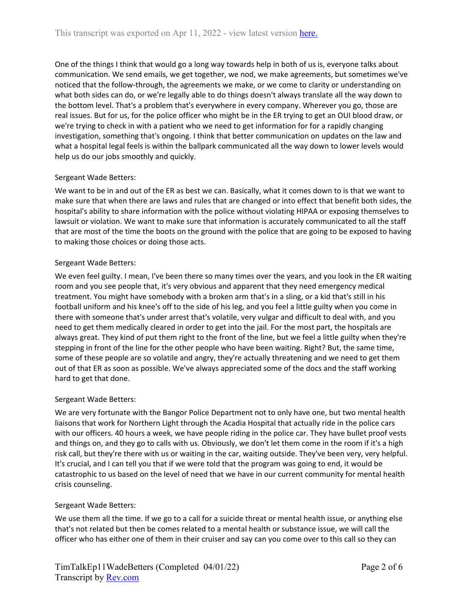One of the things I think that would go a long way towards help in both of us is, everyone talks about communication. We send emails, we get together, we nod, we make agreements, but sometimes we've noticed that the follow-through, the agreements we make, or we come to clarity or understanding on what both sides can do, or we're legally able to do things doesn't always translate all the way down to the bottom level. That's a problem that's everywhere in every company. Wherever you go, those are real issues. But for us, for the police officer who might be in the ER trying to get an OUI blood draw, or we're trying to check in with a patient who we need to get information for for a rapidly changing investigation, something that's ongoing. I think that better communication on updates on the law and what a hospital legal feels is within the ballpark communicated all the way down to lower levels would help us do our jobs smoothly and quickly.

# Sergeant Wade Betters:

We want to be in and out of the ER as best we can. Basically, what it comes down to is that we want to make sure that when there are laws and rules that are changed or into effect that benefit both sides, the hospital's ability to share information with the police without violating HIPAA or exposing themselves to lawsuit or violation. We want to make sure that information is accurately communicated to all the staff that are most of the time the boots on the ground with the police that are going to be exposed to having to making those choices or doing those acts.

## Sergeant Wade Betters:

We even feel guilty. I mean, I've been there so many times over the years, and you look in the ER waiting room and you see people that, it's very obvious and apparent that they need emergency medical treatment. You might have somebody with a broken arm that's in a sling, or a kid that's still in his football uniform and his knee's off to the side of his leg, and you feel a little guilty when you come in there with someone that's under arrest that's volatile, very vulgar and difficult to deal with, and you need to get them medically cleared in order to get into the jail. For the most part, the hospitals are always great. They kind of put them right to the front of the line, but we feel a little guilty when they're stepping in front of the line for the other people who have been waiting. Right? But, the same time, some of these people are so volatile and angry, they're actually threatening and we need to get them out of that ER as soon as possible. We've always appreciated some of the docs and the staff working hard to get that done.

# Sergeant Wade Betters:

We are very fortunate with the Bangor Police Department not to only have one, but two mental health liaisons that work for Northern Light through the Acadia Hospital that actually ride in the police cars with our officers. 40 hours a week, we have people riding in the police car. They have bullet proof vests and things on, and they go to calls with us. Obviously, we don't let them come in the room if it's a high risk call, but they're there with us or waiting in the car, waiting outside. They've been very, very helpful. It's crucial, and I can tell you that if we were told that the program was going to end, it would be catastrophic to us based on the level of need that we have in our current community for mental health crisis counseling.

# Sergeant Wade Betters:

We use them all the time. If we go to a call for a suicide threat or mental health issue, or anything else that's not related but then be comes related to a mental health or substance issue, we will call the officer who has either one of them in their cruiser and say can you come over to this call so they can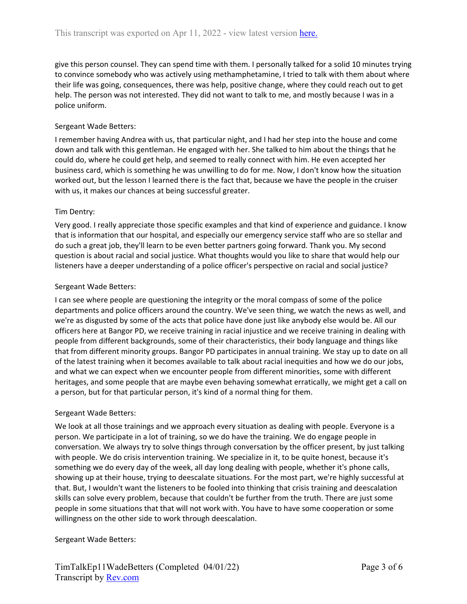give this person counsel. They can spend time with them. I personally talked for a solid 10 minutes trying to convince somebody who was actively using methamphetamine, I tried to talk with them about where their life was going, consequences, there was help, positive change, where they could reach out to get help. The person was not interested. They did not want to talk to me, and mostly because I was in a police uniform.

#### Sergeant Wade Betters:

I remember having Andrea with us, that particular night, and I had her step into the house and come down and talk with this gentleman. He engaged with her. She talked to him about the things that he could do, where he could get help, and seemed to really connect with him. He even accepted her business card, which is something he was unwilling to do for me. Now, I don't know how the situation worked out, but the lesson I learned there is the fact that, because we have the people in the cruiser with us, it makes our chances at being successful greater.

## Tim Dentry:

Very good. I really appreciate those specific examples and that kind of experience and guidance. I know that is information that our hospital, and especially our emergency service staff who are so stellar and do such a great job, they'll learn to be even better partners going forward. Thank you. My second question is about racial and social justice. What thoughts would you like to share that would help our listeners have a deeper understanding of a police officer's perspective on racial and social justice?

## Sergeant Wade Betters:

I can see where people are questioning the integrity or the moral compass of some of the police departments and police officers around the country. We've seen thing, we watch the news as well, and we're as disgusted by some of the acts that police have done just like anybody else would be. All our officers here at Bangor PD, we receive training in racial injustice and we receive training in dealing with people from different backgrounds, some of their characteristics, their body language and things like that from different minority groups. Bangor PD participates in annual training. We stay up to date on all of the latest training when it becomes available to talk about racial inequities and how we do our jobs, and what we can expect when we encounter people from different minorities, some with different heritages, and some people that are maybe even behaving somewhat erratically, we might get a call on a person, but for that particular person, it's kind of a normal thing for them.

#### Sergeant Wade Betters:

We look at all those trainings and we approach every situation as dealing with people. Everyone is a person. We participate in a lot of training, so we do have the training. We do engage people in conversation. We always try to solve things through conversation by the officer present, by just talking with people. We do crisis intervention training. We specialize in it, to be quite honest, because it's something we do every day of the week, all day long dealing with people, whether it's phone calls, showing up at their house, trying to deescalate situations. For the most part, we're highly successful at that. But, I wouldn't want the listeners to be fooled into thinking that crisis training and deescalation skills can solve every problem, because that couldn't be further from the truth. There are just some people in some situations that that will not work with. You have to have some cooperation or some willingness on the other side to work through deescalation.

#### Sergeant Wade Betters: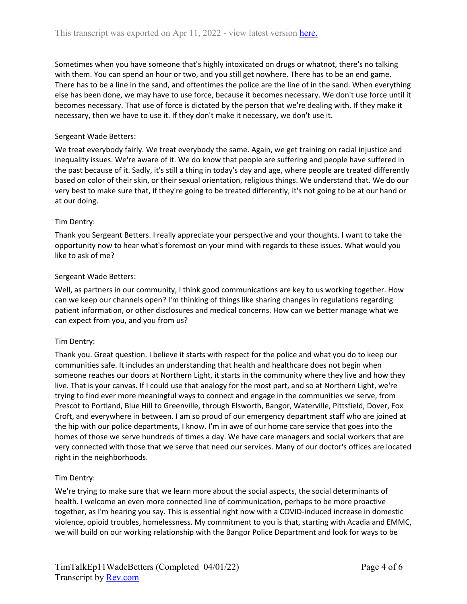Sometimes when you have someone that's highly intoxicated on drugs or whatnot, there's no talking with them. You can spend an hour or two, and you still get nowhere. There has to be an end game. There has to be a line in the sand, and oftentimes the police are the line of in the sand. When everything else has been done, we may have to use force, because it becomes necessary. We don't use force until it becomes necessary. That use of force is dictated by the person that we're dealing with. If they make it necessary, then we have to use it. If they don't make it necessary, we don't use it.

# Sergeant Wade Betters:

We treat everybody fairly. We treat everybody the same. Again, we get training on racial injustice and inequality issues. We're aware of it. We do know that people are suffering and people have suffered in the past because of it. Sadly, it's still a thing in today's day and age, where people are treated differently based on color of their skin, or their sexual orientation, religious things. We understand that. We do our very best to make sure that, if they're going to be treated differently, it's not going to be at our hand or at our doing.

# Tim Dentry:

Thank you Sergeant Betters. I really appreciate your perspective and your thoughts. I want to take the opportunity now to hear what's foremost on your mind with regards to these issues. What would you like to ask of me?

## Sergeant Wade Betters:

Well, as partners in our community, I think good communications are key to us working together. How can we keep our channels open? I'm thinking of things like sharing changes in regulations regarding patient information, or other disclosures and medical concerns. How can we better manage what we can expect from you, and you from us?

# Tim Dentry:

Thank you. Great question. I believe it starts with respect for the police and what you do to keep our communities safe. It includes an understanding that health and healthcare does not begin when someone reaches our doors at Northern Light, it starts in the community where they live and how they live. That is your canvas. If I could use that analogy for the most part, and so at Northern Light, we're trying to find ever more meaningful ways to connect and engage in the communities we serve, from Prescot to Portland, Blue Hill to Greenville, through Elsworth, Bangor, Waterville, Pittsfield, Dover, Fox Croft, and everywhere in between. I am so proud of our emergency department staff who are joined at the hip with our police departments, I know. I'm in awe of our home care service that goes into the homes of those we serve hundreds of times a day. We have care managers and social workers that are very connected with those that we serve that need our services. Many of our doctor's offices are located right in the neighborhoods.

#### Tim Dentry:

We're trying to make sure that we learn more about the social aspects, the social determinants of health. I welcome an even more connected line of communication, perhaps to be more proactive together, as I'm hearing you say. This is essential right now with a COVID-induced increase in domestic violence, opioid troubles, homelessness. My commitment to you is that, starting with Acadia and EMMC, we will build on our working relationship with the Bangor Police Department and look for ways to be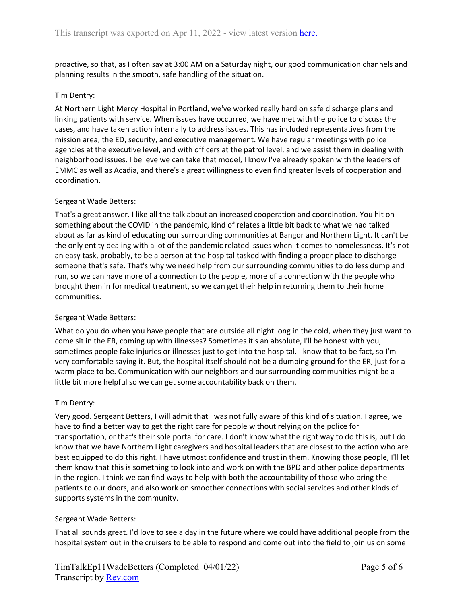proactive, so that, as I often say at 3:00 AM on a Saturday night, our good communication channels and planning results in the smooth, safe handling of the situation.

### Tim Dentry:

At Northern Light Mercy Hospital in Portland, we've worked really hard on safe discharge plans and linking patients with service. When issues have occurred, we have met with the police to discuss the cases, and have taken action internally to address issues. This has included representatives from the mission area, the ED, security, and executive management. We have regular meetings with police agencies at the executive level, and with officers at the patrol level, and we assist them in dealing with neighborhood issues. I believe we can take that model, I know I've already spoken with the leaders of EMMC as well as Acadia, and there's a great willingness to even find greater levels of cooperation and coordination.

## Sergeant Wade Betters:

That's a great answer. I like all the talk about an increased cooperation and coordination. You hit on something about the COVID in the pandemic, kind of relates a little bit back to what we had talked about as far as kind of educating our surrounding communities at Bangor and Northern Light. It can't be the only entity dealing with a lot of the pandemic related issues when it comes to homelessness. It's not an easy task, probably, to be a person at the hospital tasked with finding a proper place to discharge someone that's safe. That's why we need help from our surrounding communities to do less dump and run, so we can have more of a connection to the people, more of a connection with the people who brought them in for medical treatment, so we can get their help in returning them to their home communities.

#### Sergeant Wade Betters:

What do you do when you have people that are outside all night long in the cold, when they just want to come sit in the ER, coming up with illnesses? Sometimes it's an absolute, I'll be honest with you, sometimes people fake injuries or illnesses just to get into the hospital. I know that to be fact, so I'm very comfortable saying it. But, the hospital itself should not be a dumping ground for the ER, just for a warm place to be. Communication with our neighbors and our surrounding communities might be a little bit more helpful so we can get some accountability back on them.

#### Tim Dentry:

Very good. Sergeant Betters, I will admit that I was not fully aware of this kind of situation. I agree, we have to find a better way to get the right care for people without relying on the police for transportation, or that's their sole portal for care. I don't know what the right way to do this is, but I do know that we have Northern Light caregivers and hospital leaders that are closest to the action who are best equipped to do this right. I have utmost confidence and trust in them. Knowing those people, I'll let them know that this is something to look into and work on with the BPD and other police departments in the region. I think we can find ways to help with both the accountability of those who bring the patients to our doors, and also work on smoother connections with social services and other kinds of supports systems in the community.

#### Sergeant Wade Betters:

That all sounds great. I'd love to see a day in the future where we could have additional people from the hospital system out in the cruisers to be able to respond and come out into the field to join us on some